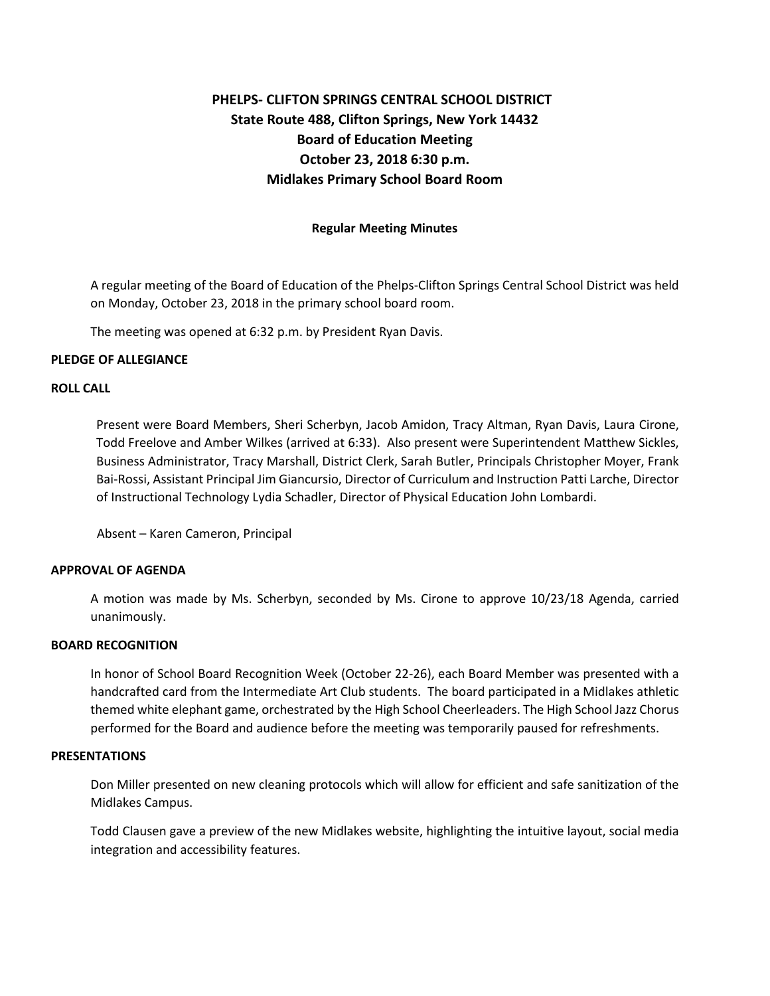# **State Route 488, Clifton Springs, New York 14432 Midlakes Primary School Board Room Regular Meeting Minutes PHELPS- CLIFTON SPRINGS CENTRAL SCHOOL DISTRICT Board of Education Meeting October 23, 2018 6:30 p.m.**

 on Monday, October 23, 2018 in the primary school board room. A regular meeting of the Board of Education of the Phelps-Clifton Springs Central School District was held

The meeting was opened at 6:32 p.m. by President Ryan Davis.

# **PLEDGE OF ALLEGIANCE**

# **ROLL CALL**

 Present were Board Members, Sheri Scherbyn, Jacob Amidon, Tracy Altman, Ryan Davis, Laura Cirone, Business Administrator, Tracy Marshall, District Clerk, Sarah Butler, Principals Christopher Moyer, Frank Bai-Rossi, Assistant Principal Jim Giancursio, Director of Curriculum and Instruction Patti Larche, Director of Instructional Technology Lydia Schadler, Director of Physical Education John Lombardi. Todd Freelove and Amber Wilkes (arrived at 6:33). Also present were Superintendent Matthew Sickles,

Absent – Karen Cameron, Principal

# **APPROVAL OF AGENDA**

 A motion was made by Ms. Scherbyn, seconded by Ms. Cirone to approve 10/23/18 Agenda, carried unanimously.

# **BOARD RECOGNITION**

 handcrafted card from the Intermediate Art Club students. The board participated in a Midlakes athletic themed white elephant game, orchestrated by the High School Cheerleaders. The High School Jazz Chorus performed for the Board and audience before the meeting was temporarily paused for refreshments. In honor of School Board Recognition Week (October 22-26), each Board Member was presented with a

# **PRESENTATIONS**

 Don Miller presented on new cleaning protocols which will allow for efficient and safe sanitization of the Midlakes Campus.

 Todd Clausen gave a preview of the new Midlakes website, highlighting the intuitive layout, social media integration and accessibility features.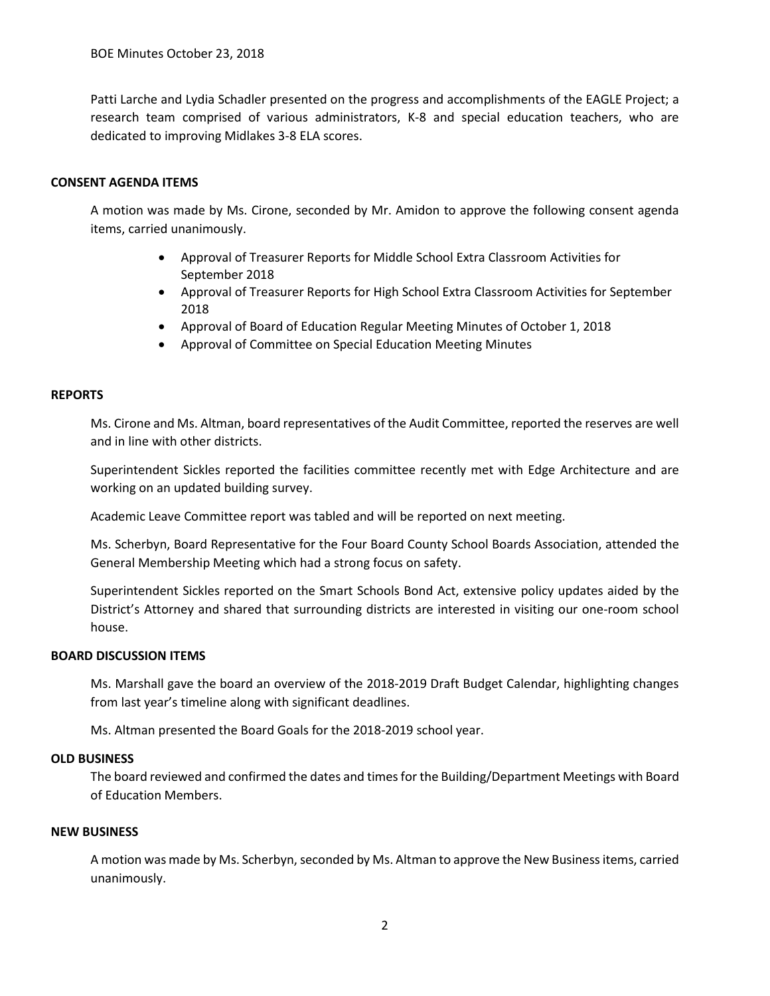Patti Larche and Lydia Schadler presented on the progress and accomplishments of the EAGLE Project; a research team comprised of various administrators, K-8 and special education teachers, who are dedicated to improving Midlakes 3-8 ELA scores.

# **CONSENT AGENDA ITEMS**

 A motion was made by Ms. Cirone, seconded by Mr. Amidon to approve the following consent agenda items, carried unanimously.

- Approval of Treasurer Reports for Middle School Extra Classroom Activities for September 2018
- 2018 • Approval of Treasurer Reports for High School Extra Classroom Activities for September
- Approval of Board of Education Regular Meeting Minutes of October 1, 2018
- Approval of Committee on Special Education Meeting Minutes

# **REPORTS**

Ms. Cirone and Ms. Altman, board representatives of the Audit Committee, reported the reserves are well and in line with other districts.

 Superintendent Sickles reported the facilities committee recently met with Edge Architecture and are working on an updated building survey.

Academic Leave Committee report was tabled and will be reported on next meeting.

Ms. Scherbyn, Board Representative for the Four Board County School Boards Association, attended the General Membership Meeting which had a strong focus on safety.

 Superintendent Sickles reported on the Smart Schools Bond Act, extensive policy updates aided by the District's Attorney and shared that surrounding districts are interested in visiting our one-room school house.

# **BOARD DISCUSSION ITEMS**

 Ms. Marshall gave the board an overview of the 2018-2019 Draft Budget Calendar, highlighting changes from last year's timeline along with significant deadlines.

Ms. Altman presented the Board Goals for the 2018-2019 school year.

#### **OLD BUSINESS**

The board reviewed and confirmed the dates and times for the Building/Department Meetings with Board of Education Members.

# **NEW BUSINESS**

 A motion was made by Ms. Scherbyn, seconded by Ms. Altman to approve the New Business items, carried unanimously.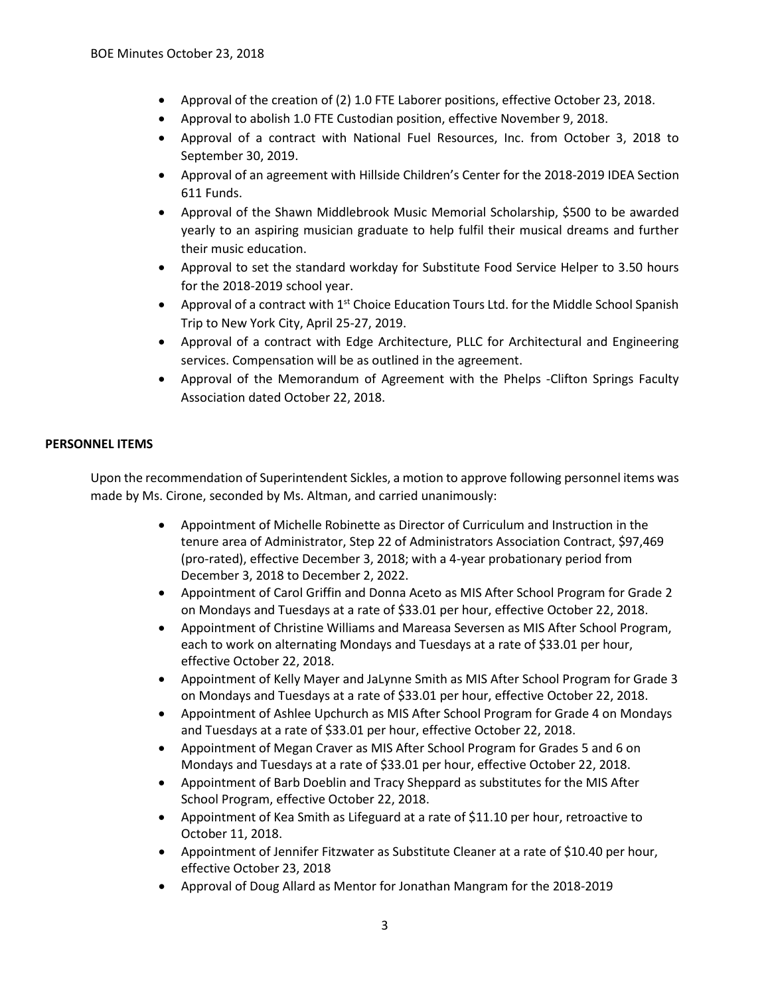- Approval of the creation of (2) 1.0 FTE Laborer positions, effective October 23, 2018.
- Approval to abolish 1.0 FTE Custodian position, effective November 9, 2018.
- • Approval of a contract with National Fuel Resources, Inc. from October 3, 2018 to September 30, 2019.
- Approval of an agreement with Hillside Children's Center for the 2018-2019 IDEA Section 611 Funds.
- • Approval of the Shawn Middlebrook Music Memorial Scholarship, \$500 to be awarded yearly to an aspiring musician graduate to help fulfil their musical dreams and further their music education.
- • Approval to set the standard workday for Substitute Food Service Helper to 3.50 hours for the 2018-2019 school year.
- Approval of a contract with  $1<sup>st</sup>$  Choice Education Tours Ltd. for the Middle School Spanish Trip to New York City, April 25-27, 2019.
- • Approval of a contract with Edge Architecture, PLLC for Architectural and Engineering services. Compensation will be as outlined in the agreement.
- Association dated October 22, 2018. • Approval of the Memorandum of Agreement with the Phelps -Clifton Springs Faculty

# **PERSONNEL ITEMS**

 Upon the recommendation of Superintendent Sickles, a motion to approve following personnel items was made by Ms. Cirone, seconded by Ms. Altman, and carried unanimously:

- • Appointment of Michelle Robinette as Director of Curriculum and Instruction in the December 3, 2018 to December 2, 2022. tenure area of Administrator, Step 22 of Administrators Association Contract, \$97,469 (pro-rated), effective December 3, 2018; with a 4-year probationary period from
- on Mondays and Tuesdays at a rate of \$33.01 per hour, effective October 22, 2018. • Appointment of Carol Griffin and Donna Aceto as MIS After School Program for Grade 2
- • Appointment of Christine Williams and Mareasa Seversen as MIS After School Program, each to work on alternating Mondays and Tuesdays at a rate of \$33.01 per hour, effective October 22, 2018.
- on Mondays and Tuesdays at a rate of \$33.01 per hour, effective October 22, 2018. • Appointment of Kelly Mayer and JaLynne Smith as MIS After School Program for Grade 3
- • Appointment of Ashlee Upchurch as MIS After School Program for Grade 4 on Mondays and Tuesdays at a rate of \$33.01 per hour, effective October 22, 2018.
- Mondays and Tuesdays at a rate of \$33.01 per hour, effective October 22, 2018. • Appointment of Megan Craver as MIS After School Program for Grades 5 and 6 on
- • Appointment of Barb Doeblin and Tracy Sheppard as substitutes for the MIS After School Program, effective October 22, 2018.
- • Appointment of Kea Smith as Lifeguard at a rate of \$11.10 per hour, retroactive to October 11, 2018.
- Appointment of Jennifer Fitzwater as Substitute Cleaner at a rate of \$10.40 per hour, effective October 23, 2018
- Approval of Doug Allard as Mentor for Jonathan Mangram for the 2018-2019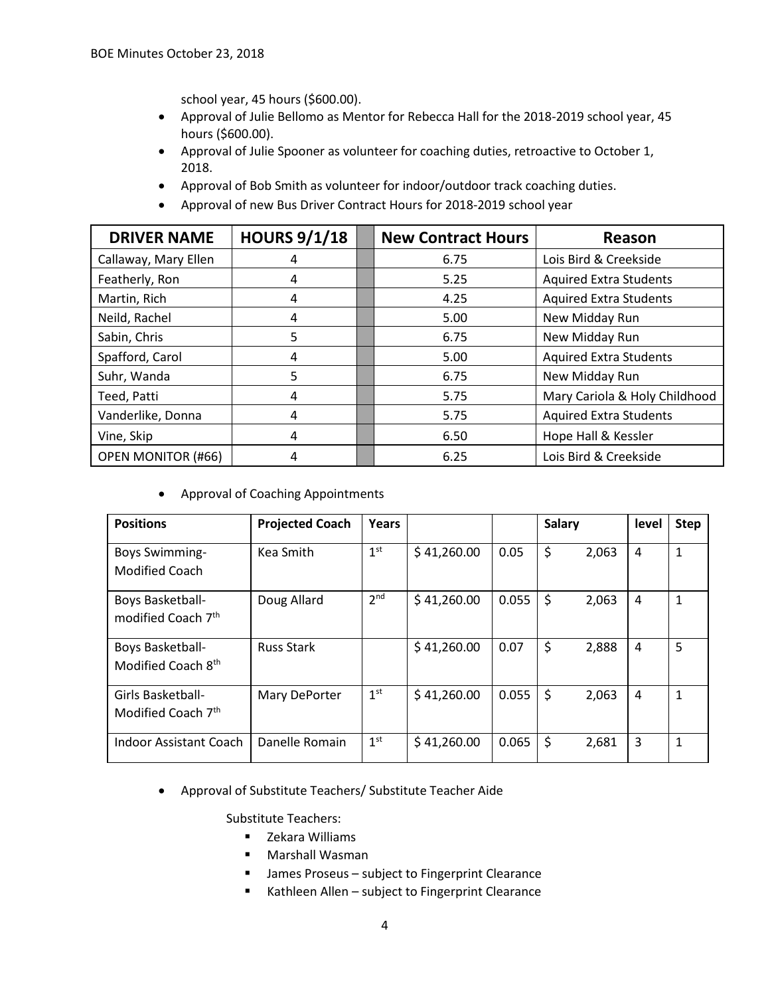school year, 45 hours (\$600.00).

- Approval of Julie Bellomo as Mentor for Rebecca Hall for the 2018-2019 school year, 45 hours (\$600.00).
- Approval of Julie Spooner as volunteer for coaching duties, retroactive to October 1, 2018.
- Approval of Bob Smith as volunteer for indoor/outdoor track coaching duties.
- Approval of new Bus Driver Contract Hours for 2018-2019 school year

| <b>DRIVER NAME</b>        | <b>HOURS 9/1/18</b> | <b>New Contract Hours</b> | Reason                        |  |  |
|---------------------------|---------------------|---------------------------|-------------------------------|--|--|
| Callaway, Mary Ellen      | 4                   | 6.75                      | Lois Bird & Creekside         |  |  |
| Featherly, Ron            | 4                   | 5.25                      | <b>Aquired Extra Students</b> |  |  |
| Martin, Rich              | 4                   | 4.25                      | <b>Aquired Extra Students</b> |  |  |
| Neild, Rachel             | 4                   | 5.00                      | New Midday Run                |  |  |
| Sabin, Chris              | 5                   | 6.75                      | New Midday Run                |  |  |
| Spafford, Carol           | 4                   | 5.00                      | <b>Aquired Extra Students</b> |  |  |
| Suhr, Wanda               | 5                   | 6.75                      | New Midday Run                |  |  |
| Teed, Patti               | 4                   | 5.75                      | Mary Cariola & Holy Childhood |  |  |
| Vanderlike, Donna         | 4                   | 5.75                      | <b>Aquired Extra Students</b> |  |  |
| Vine, Skip                | 4                   | 6.50                      | Hope Hall & Kessler           |  |  |
| <b>OPEN MONITOR (#66)</b> | 4                   | 6.25                      | Lois Bird & Creekside         |  |  |

• Approval of Coaching Appointments

| <b>Positions</b>                                   | <b>Projected Coach</b> | Years           |             |       | <b>Salary</b> |       | level | <b>Step</b> |
|----------------------------------------------------|------------------------|-----------------|-------------|-------|---------------|-------|-------|-------------|
| <b>Boys Swimming-</b><br>Modified Coach            | Kea Smith              | 1 <sup>st</sup> | \$41,260.00 | 0.05  | \$            | 2,063 | 4     | 1           |
| Boys Basketball-<br>modified Coach 7 <sup>th</sup> | Doug Allard            | 2 <sup>nd</sup> | \$41,260.00 | 0.055 | \$            | 2,063 | 4     | 1           |
| Boys Basketball-<br>Modified Coach 8th             | <b>Russ Stark</b>      |                 | \$41,260.00 | 0.07  | \$            | 2,888 | 4     | 5           |
| Girls Basketball-<br>Modified Coach 7th            | Mary DePorter          | 1 <sup>st</sup> | \$41,260.00 | 0.055 | \$            | 2,063 | 4     | 1           |
| Indoor Assistant Coach                             | Danelle Romain         | 1 <sup>st</sup> | \$41,260.00 | 0.065 | \$            | 2,681 | 3     | 1           |

• Approval of Substitute Teachers/ Substitute Teacher Aide

Substitute Teachers:

- Zekara Williams
- Marshall Wasman
- **James Proseus subject to Fingerprint Clearance**
- Kathleen Allen subject to Fingerprint Clearance